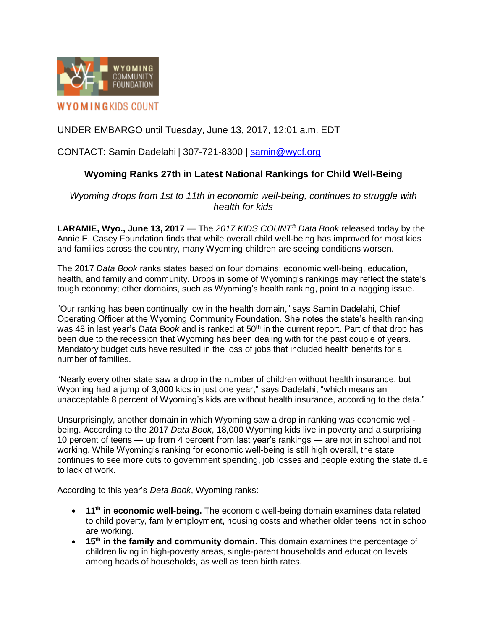

# UNDER EMBARGO until Tuesday, June 13, 2017, 12:01 a.m. EDT

### CONTACT: Samin Dadelahi | 307-721-8300 | [samin@wycf.org](file:///C:/Users/MRichardson/Downloads/samin@wycf.org)

## **Wyoming Ranks 27th in Latest National Rankings for Child Well-Being**

*Wyoming drops from 1st to 11th in economic well-being, continues to struggle with health for kids*

**LARAMIE, Wyo., June 13, 2017** — The *2017 KIDS COUNT® Data Book* released today by the Annie E. Casey Foundation finds that while overall child well-being has improved for most kids and families across the country, many Wyoming children are seeing conditions worsen.

The 2017 *Data Book* ranks states based on four domains: economic well-being, education, health, and family and community. Drops in some of Wyoming's rankings may reflect the state's tough economy; other domains, such as Wyoming's health ranking, point to a nagging issue.

"Our ranking has been continually low in the health domain," says Samin Dadelahi, Chief Operating Officer at the Wyoming Community Foundation. She notes the state's health ranking was 48 in last year's *Data Book* and is ranked at 50th in the current report. Part of that drop has been due to the recession that Wyoming has been dealing with for the past couple of years. Mandatory budget cuts have resulted in the loss of jobs that included health benefits for a number of families.

"Nearly every other state saw a drop in the number of children without health insurance, but Wyoming had a jump of 3,000 kids in just one year," says Dadelahi, "which means an unacceptable 8 percent of Wyoming's kids are without health insurance, according to the data."

Unsurprisingly, another domain in which Wyoming saw a drop in ranking was economic wellbeing. According to the 2017 *Data Book*, 18,000 Wyoming kids live in poverty and a surprising 10 percent of teens — up from 4 percent from last year's rankings — are not in school and not working. While Wyoming's ranking for economic well-being is still high overall, the state continues to see more cuts to government spending, job losses and people exiting the state due to lack of work.

According to this year's *Data Book*, Wyoming ranks:

- **11th in economic well-being.** The economic well-being domain examines data related to child poverty, family employment, housing costs and whether older teens not in school are working.
- **15th in the family and community domain.** This domain examines the percentage of children living in high-poverty areas, single-parent households and education levels among heads of households, as well as teen birth rates.